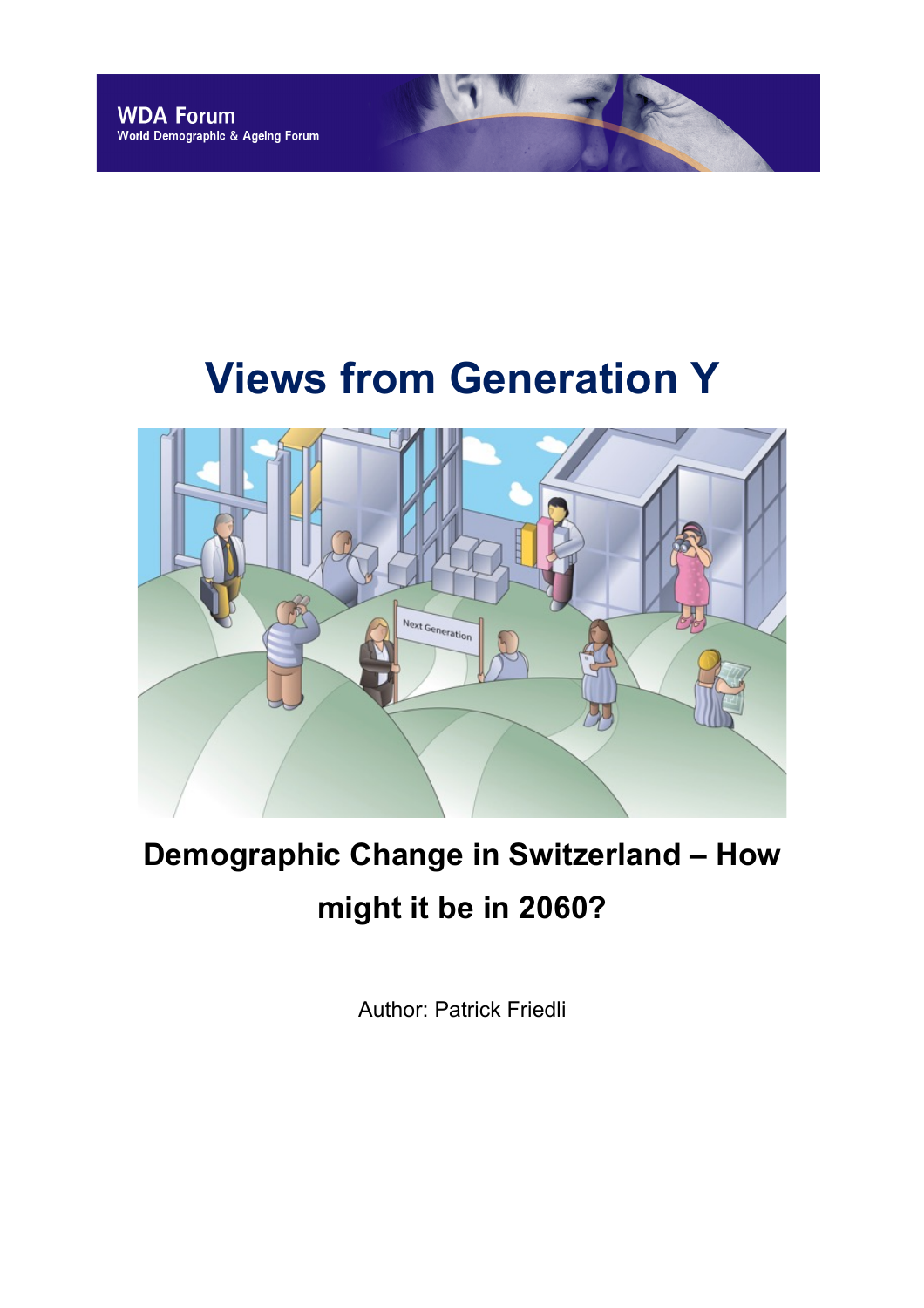# **Views from Generation Y**



# **Demographic Change in Switzerland – How might it be in 2060?**

Author: Patrick Friedli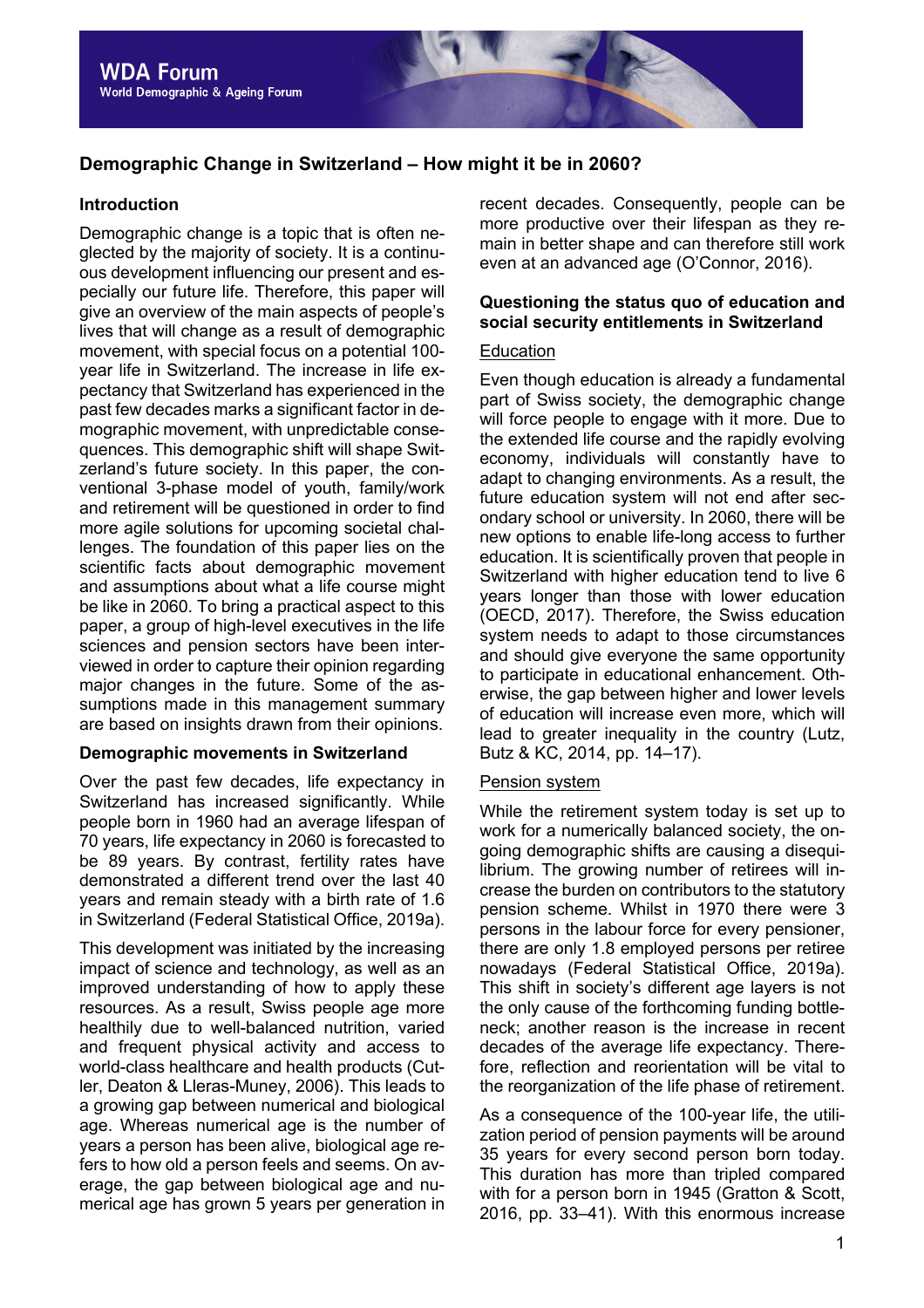# **Demographic Change in Switzerland – How might it be in 2060?**

#### **Introduction**

Demographic change is a topic that is often neglected by the majority of society. It is a continuous development influencing our present and especially our future life. Therefore, this paper will give an overview of the main aspects of people's lives that will change as a result of demographic movement, with special focus on a potential 100 year life in Switzerland. The increase in life expectancy that Switzerland has experienced in the past few decades marks a significant factor in demographic movement, with unpredictable consequences. This demographic shift will shape Switzerland's future society. In this paper, the conventional 3-phase model of youth, family/work and retirement will be questioned in order to find more agile solutions for upcoming societal challenges. The foundation of this paper lies on the scientific facts about demographic movement and assumptions about what a life course might be like in 2060. To bring a practical aspect to this paper, a group of high-level executives in the life sciences and pension sectors have been interviewed in order to capture their opinion regarding major changes in the future. Some of the assumptions made in this management summary are based on insights drawn from their opinions.

#### **Demographic movements in Switzerland**

Over the past few decades, life expectancy in Switzerland has increased significantly. While people born in 1960 had an average lifespan of 70 years, life expectancy in 2060 is forecasted to be 89 years. By contrast, fertility rates have demonstrated a different trend over the last 40 years and remain steady with a birth rate of 1.6 in Switzerland (Federal Statistical Office, 2019a).

This development was initiated by the increasing impact of science and technology, as well as an improved understanding of how to apply these resources. As a result, Swiss people age more healthily due to well-balanced nutrition, varied and frequent physical activity and access to world-class healthcare and health products (Cutler, Deaton & Lleras-Muney, 2006). This leads to a growing gap between numerical and biological age. Whereas numerical age is the number of years a person has been alive, biological age refers to how old a person feels and seems. On average, the gap between biological age and numerical age has grown 5 years per generation in

recent decades. Consequently, people can be more productive over their lifespan as they remain in better shape and can therefore still work even at an advanced age (O'Connor, 2016).

# **Questioning the status quo of education and social security entitlements in Switzerland**

#### Education

Even though education is already a fundamental part of Swiss society, the demographic change will force people to engage with it more. Due to the extended life course and the rapidly evolving economy, individuals will constantly have to adapt to changing environments. As a result, the future education system will not end after secondary school or university. In 2060, there will be new options to enable life-long access to further education. It is scientifically proven that people in Switzerland with higher education tend to live 6 years longer than those with lower education (OECD, 2017). Therefore, the Swiss education system needs to adapt to those circumstances and should give everyone the same opportunity to participate in educational enhancement. Otherwise, the gap between higher and lower levels of education will increase even more, which will lead to greater inequality in the country (Lutz, Butz & KC, 2014, pp. 14–17).

#### Pension system

While the retirement system today is set up to work for a numerically balanced society, the ongoing demographic shifts are causing a disequilibrium. The growing number of retirees will increase the burden on contributors to the statutory pension scheme. Whilst in 1970 there were 3 persons in the labour force for every pensioner, there are only 1.8 employed persons per retiree nowadays (Federal Statistical Office, 2019a). This shift in society's different age layers is not the only cause of the forthcoming funding bottleneck; another reason is the increase in recent decades of the average life expectancy. Therefore, reflection and reorientation will be vital to the reorganization of the life phase of retirement.

As a consequence of the 100-year life, the utilization period of pension payments will be around 35 years for every second person born today. This duration has more than tripled compared with for a person born in 1945 (Gratton & Scott, 2016, pp. 33–41). With this enormous increase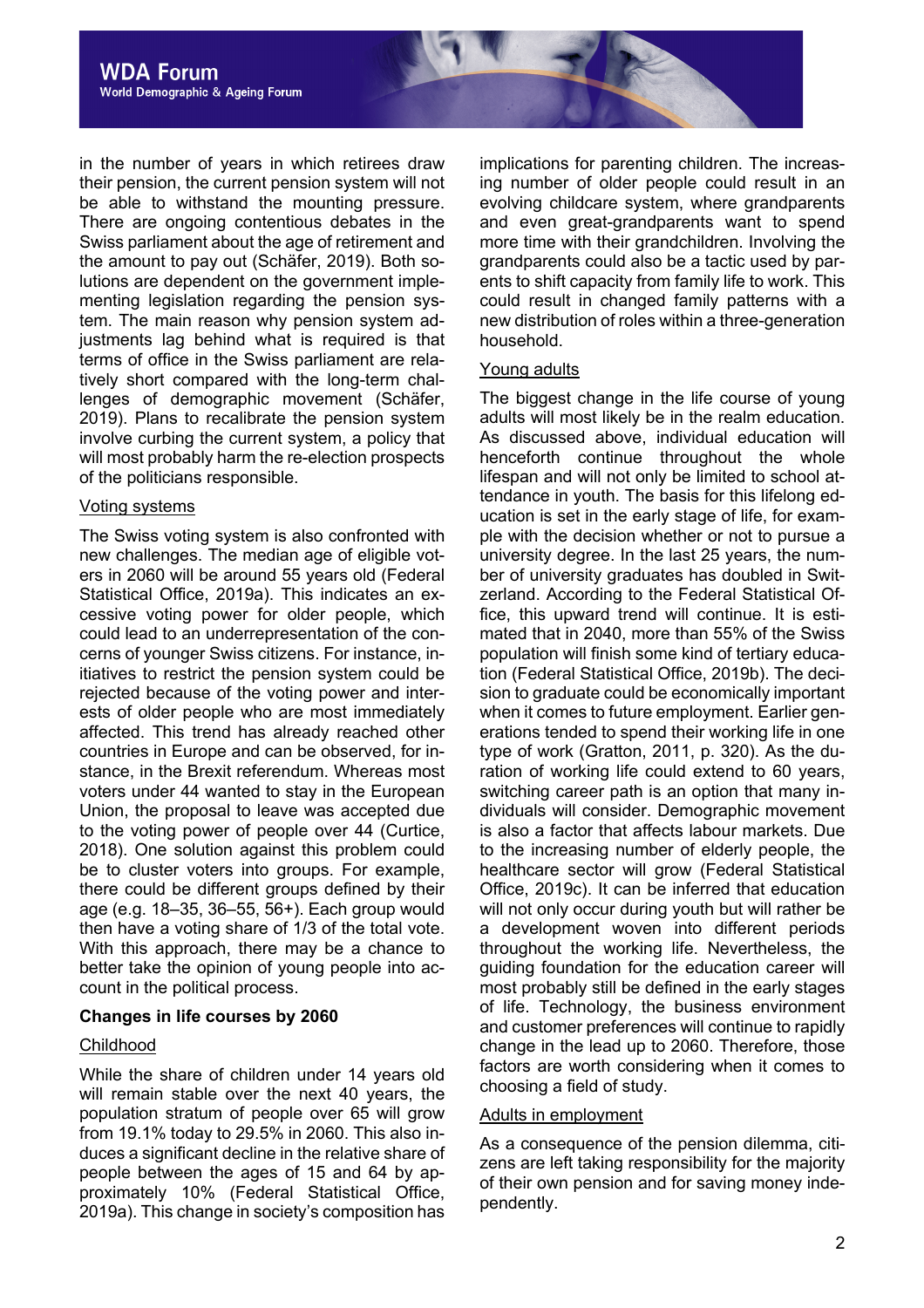

in the number of years in which retirees draw their pension, the current pension system will not be able to withstand the mounting pressure. There are ongoing contentious debates in the Swiss parliament about the age of retirement and the amount to pay out (Schäfer, 2019). Both solutions are dependent on the government implementing legislation regarding the pension system. The main reason why pension system adjustments lag behind what is required is that terms of office in the Swiss parliament are relatively short compared with the long-term challenges of demographic movement (Schäfer, 2019). Plans to recalibrate the pension system involve curbing the current system, a policy that will most probably harm the re-election prospects of the politicians responsible.

#### Voting systems

The Swiss voting system is also confronted with new challenges. The median age of eligible voters in 2060 will be around 55 years old (Federal Statistical Office, 2019a). This indicates an excessive voting power for older people, which could lead to an underrepresentation of the concerns of younger Swiss citizens. For instance, initiatives to restrict the pension system could be rejected because of the voting power and interests of older people who are most immediately affected. This trend has already reached other countries in Europe and can be observed, for instance, in the Brexit referendum. Whereas most voters under 44 wanted to stay in the European Union, the proposal to leave was accepted due to the voting power of people over 44 (Curtice, 2018). One solution against this problem could be to cluster voters into groups. For example, there could be different groups defined by their age (e.g. 18–35, 36–55, 56+). Each group would then have a voting share of 1/3 of the total vote. With this approach, there may be a chance to better take the opinion of young people into account in the political process.

# **Changes in life courses by 2060**

# Childhood

While the share of children under 14 years old will remain stable over the next 40 years, the population stratum of people over 65 will grow from 19.1% today to 29.5% in 2060. This also induces a significant decline in the relative share of people between the ages of 15 and 64 by approximately 10% (Federal Statistical Office, 2019a). This change in society's composition has

implications for parenting children. The increasing number of older people could result in an evolving childcare system, where grandparents and even great-grandparents want to spend more time with their grandchildren. Involving the grandparents could also be a tactic used by parents to shift capacity from family life to work. This could result in changed family patterns with a new distribution of roles within a three-generation household.

#### Young adults

The biggest change in the life course of young adults will most likely be in the realm education. As discussed above, individual education will henceforth continue throughout the whole lifespan and will not only be limited to school attendance in youth. The basis for this lifelong education is set in the early stage of life, for example with the decision whether or not to pursue a university degree. In the last 25 years, the number of university graduates has doubled in Switzerland. According to the Federal Statistical Office, this upward trend will continue. It is estimated that in 2040, more than 55% of the Swiss population will finish some kind of tertiary education (Federal Statistical Office, 2019b). The decision to graduate could be economically important when it comes to future employment. Earlier generations tended to spend their working life in one type of work (Gratton, 2011, p. 320). As the duration of working life could extend to 60 years, switching career path is an option that many individuals will consider. Demographic movement is also a factor that affects labour markets. Due to the increasing number of elderly people, the healthcare sector will grow (Federal Statistical Office, 2019c). It can be inferred that education will not only occur during youth but will rather be a development woven into different periods throughout the working life. Nevertheless, the guiding foundation for the education career will most probably still be defined in the early stages of life. Technology, the business environment and customer preferences will continue to rapidly change in the lead up to 2060. Therefore, those factors are worth considering when it comes to choosing a field of study.

# Adults in employment

As a consequence of the pension dilemma, citizens are left taking responsibility for the majority of their own pension and for saving money independently.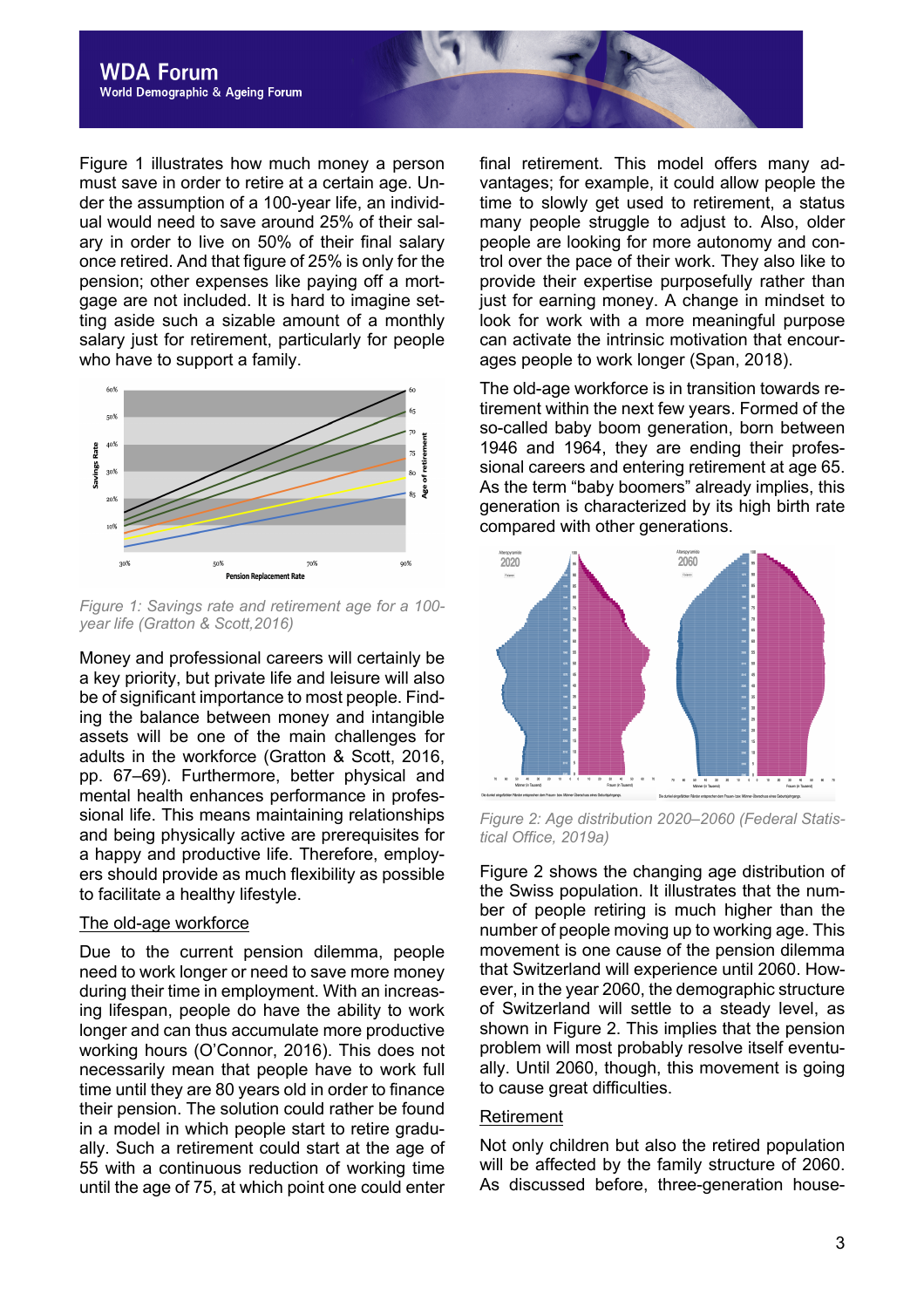

Figure 1 illustrates how much money a person must save in order to retire at a certain age. Under the assumption of a 100-year life, an individual would need to save around 25% of their salary in order to live on 50% of their final salary once retired. And that figure of 25% is only for the pension; other expenses like paying off a mortgage are not included. It is hard to imagine setting aside such a sizable amount of a monthly salary just for retirement, particularly for people who have to support a family.



*Figure 1: Savings rate and retirement age for a 100 year life (Gratton & Scott,2016)*

Money and professional careers will certainly be a key priority, but private life and leisure will also be of significant importance to most people. Finding the balance between money and intangible assets will be one of the main challenges for adults in the workforce (Gratton & Scott, 2016, pp. 67–69). Furthermore, better physical and mental health enhances performance in professional life. This means maintaining relationships and being physically active are prerequisites for a happy and productive life. Therefore, employers should provide as much flexibility as possible to facilitate a healthy lifestyle.

#### The old-age workforce

Due to the current pension dilemma, people need to work longer or need to save more money during their time in employment. With an increasing lifespan, people do have the ability to work longer and can thus accumulate more productive working hours (O'Connor, 2016). This does not necessarily mean that people have to work full time until they are 80 years old in order to finance their pension. The solution could rather be found in a model in which people start to retire gradually. Such a retirement could start at the age of 55 with a continuous reduction of working time until the age of 75, at which point one could enter

final retirement. This model offers many advantages; for example, it could allow people the time to slowly get used to retirement, a status many people struggle to adjust to. Also, older people are looking for more autonomy and control over the pace of their work. They also like to provide their expertise purposefully rather than just for earning money. A change in mindset to look for work with a more meaningful purpose can activate the intrinsic motivation that encourages people to work longer (Span, 2018).

The old-age workforce is in transition towards retirement within the next few years. Formed of the so-called baby boom generation, born between 1946 and 1964, they are ending their professional careers and entering retirement at age 65. As the term "baby boomers" already implies, this generation is characterized by its high birth rate compared with other generations.



*Figure 2: Age distribution 2020–2060 (Federal Statistical Office, 2019a)*

Figure 2 shows the changing age distribution of the Swiss population. It illustrates that the number of people retiring is much higher than the number of people moving up to working age. This movement is one cause of the pension dilemma that Switzerland will experience until 2060. However, in the year 2060, the demographic structure of Switzerland will settle to a steady level, as shown in Figure 2. This implies that the pension problem will most probably resolve itself eventually. Until 2060, though, this movement is going to cause great difficulties.

#### Retirement

Not only children but also the retired population will be affected by the family structure of 2060. As discussed before, three-generation house-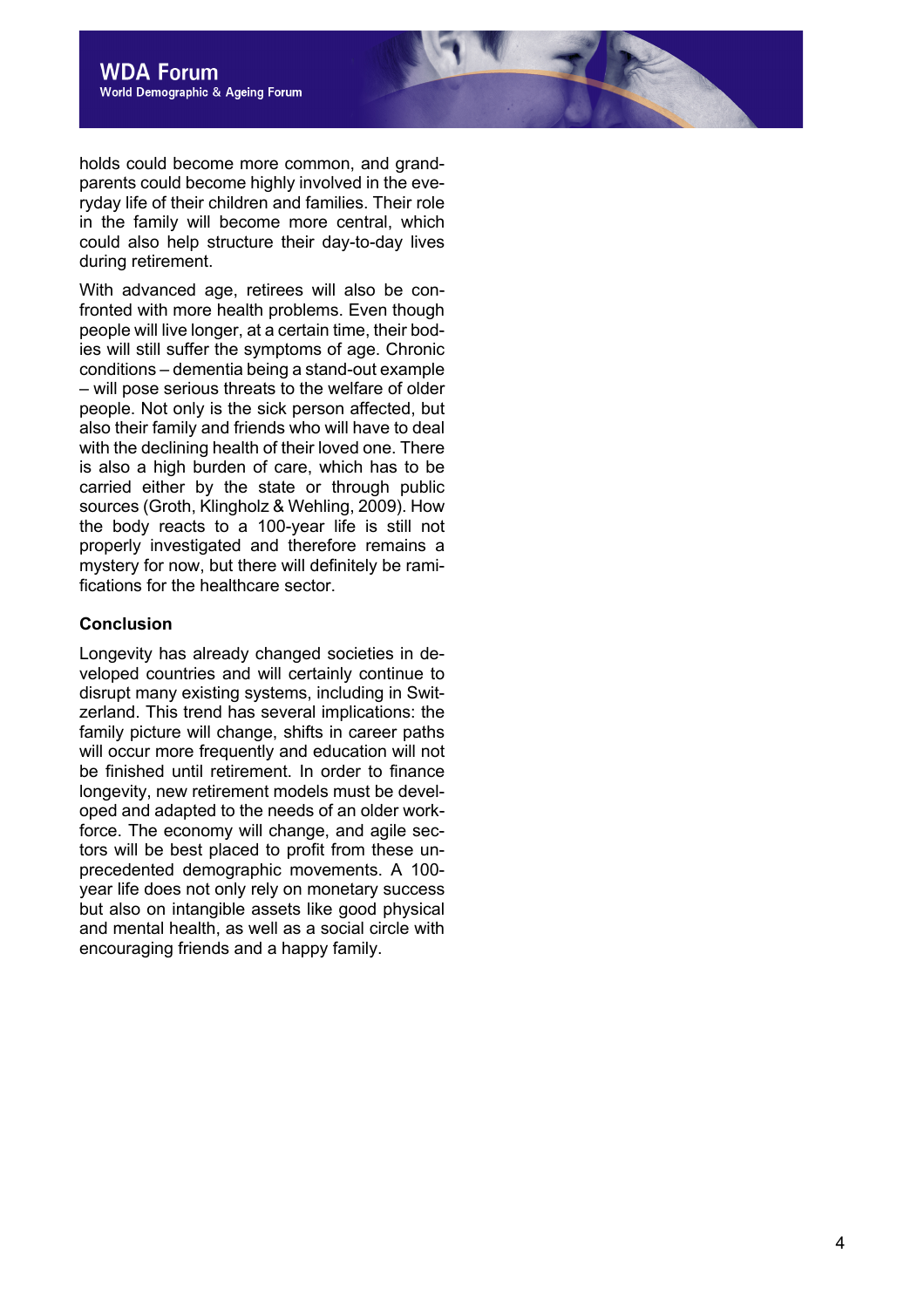holds could become more common , and grandparents could become highly involved in the everyday life of their children and families. Their role in the family will become more central, which could also help structure their day -to -day lives during retirement.

With advanced age, retirees will also be confronted with more health problems. Even though people will live longer, at a certain time, their bodies will still suffer the symptoms of age. Chronic conditions – dementia being a stand -out example – will pose serious threats to the welfare of older people. Not only is the sick person affected, but also their family and friends who will have to deal with the declining health of their loved one. There is also a high burden of care, which has to be carried either by the state or t hrough public sources (Groth, Klingholz & Wehling, 2009). How the body reacts to a 100 - year life is still not properly investigated and therefore remains a mystery for now, but there will definitely be ramifications for the healthcare sector.

# **Conclusion**

Longevity has already changed societies in developed countries and will certainly continue to disrupt many existing systems, including in Switzerland. This trend has several implications: the family picture will change, shifts in career paths will occur more frequently and education will not be finished until retirement. In order to finance longevity , new retirement models must be developed and adapted to the needs of an older workforce. The economy will change, and agile sectors will be best placed to profit from these unprecedented demographic movements. A 100 year life does not only rely on monetary success but also on intangible assets like good physical and mental health, as well as a social circle with encouraging friends and a happy family.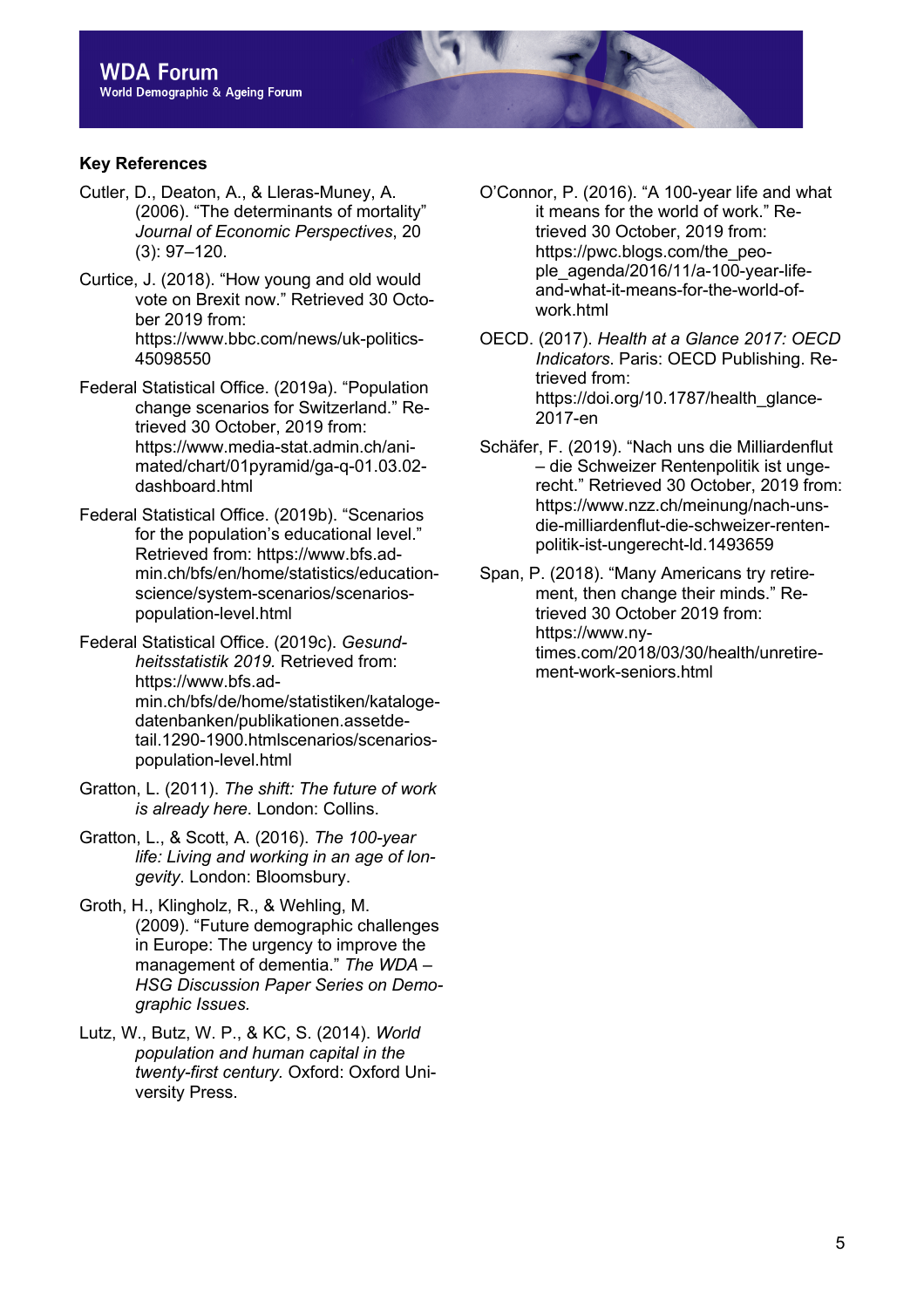# **Key References**

- Cutler, D., Deaton, A., & Lleras-Muney, A. (2006). "The determinants of mortality" *Journal of Economic Perspectives*, 20 (3): 97–120.
- Curtice, J. (2018). "How young and old would vote on Brexit now." Retrieved 30 October 2019 from: https://www.bbc.com/news/uk-politics-45098550
- Federal Statistical Office. (2019a). "Population change scenarios for Switzerland." Retrieved 30 October, 2019 from: https://www.media-stat.admin.ch/animated/chart/01pyramid/ga-q-01.03.02 dashboard.html
- Federal Statistical Office. (2019b). "Scenarios for the population's educational level." Retrieved from: https://www.bfs.admin.ch/bfs/en/home/statistics/educationscience/system-scenarios/scenariospopulation-level.html
- Federal Statistical Office. (2019c). *Gesundheitsstatistik 2019.* Retrieved from: https://www.bfs.admin.ch/bfs/de/home/statistiken/katalogedatenbanken/publikationen.assetdetail.1290-1900.htmlscenarios/scenariospopulation-level.html
- Gratton, L. (2011). *The shift: The future of work is already here*. London: Collins.
- Gratton, L., & Scott, A. (2016). *The 100-year life: Living and working in an age of longevity*. London: Bloomsbury.
- Groth, H., Klingholz, R., & Wehling, M. (2009). "Future demographic challenges in Europe: The urgency to improve the management of dementia." *The WDA – HSG Discussion Paper Series on Demographic Issues.*
- Lutz, W., Butz, W. P., & KC, S. (2014). *World population and human capital in the twenty-first century.* Oxford: Oxford University Press.
- O'Connor, P. (2016). "A 100-year life and what it means for the world of work." Retrieved 30 October, 2019 from: https://pwc.blogs.com/the\_people\_agenda/2016/11/a-100-year-lifeand-what-it-means-for-the-world-ofwork.html
- OECD. (2017). *Health at a Glance 2017: OECD Indicators*. Paris: OECD Publishing. Retrieved from: https://doi.org/10.1787/health\_glance-2017-en
- Schäfer, F. (2019). "Nach uns die Milliardenflut – die Schweizer Rentenpolitik ist ungerecht." Retrieved 30 October, 2019 from: https://www.nzz.ch/meinung/nach-unsdie-milliardenflut-die-schweizer-rentenpolitik-ist-ungerecht-ld.1493659
- Span, P. (2018). "Many Americans try retirement, then change their minds." Retrieved 30 October 2019 from: https://www.nytimes.com/2018/03/30/health/unretirement-work-seniors.html